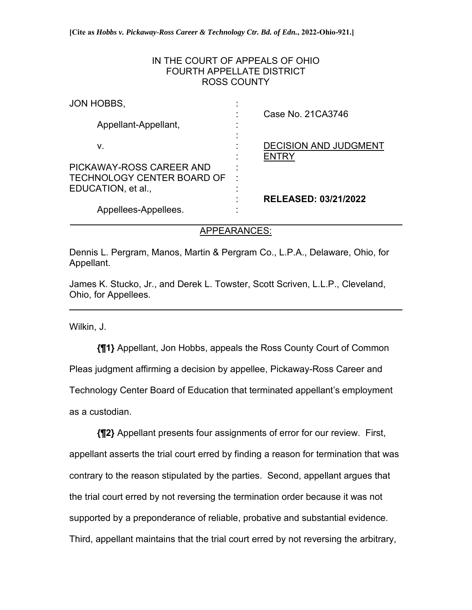## IN THE COURT OF APPEALS OF OHIO FOURTH APPELLATE DISTRICT ROSS COUNTY

| JON HOBBS,                                                                          |   | Case No. 21CA3746                     |
|-------------------------------------------------------------------------------------|---|---------------------------------------|
| Appellant-Appellant,                                                                |   |                                       |
| v.                                                                                  |   | <b>DECISION AND JUDGMENT</b><br>ENTRY |
| PICKAWAY-ROSS CAREER AND<br><b>TECHNOLOGY CENTER BOARD OF</b><br>EDUCATION, et al., | ٠ |                                       |
| Appellees-Appellees.                                                                |   | <b>RELEASED: 03/21/2022</b>           |

## APPEARANCES:

Dennis L. Pergram, Manos, Martin & Pergram Co., L.P.A., Delaware, Ohio, for Appellant.

James K. Stucko, Jr., and Derek L. Towster, Scott Scriven, L.L.P., Cleveland, Ohio, for Appellees.

Wilkin, J.

 $\overline{a}$ 

**{¶1}** Appellant, Jon Hobbs, appeals the Ross County Court of Common Pleas judgment affirming a decision by appellee, Pickaway-Ross Career and Technology Center Board of Education that terminated appellant's employment as a custodian.

**{¶2}** Appellant presents four assignments of error for our review. First, appellant asserts the trial court erred by finding a reason for termination that was contrary to the reason stipulated by the parties. Second, appellant argues that the trial court erred by not reversing the termination order because it was not supported by a preponderance of reliable, probative and substantial evidence. Third, appellant maintains that the trial court erred by not reversing the arbitrary,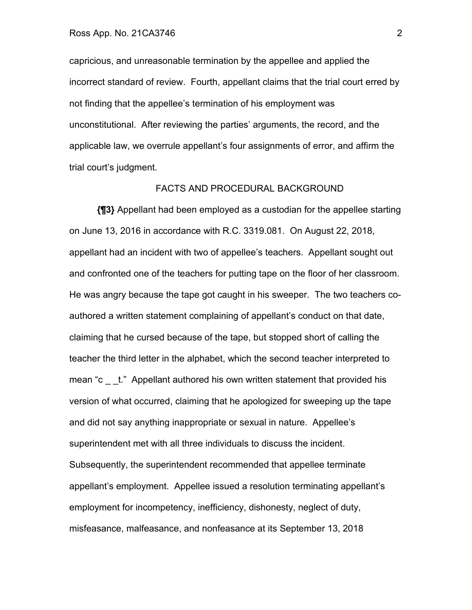capricious, and unreasonable termination by the appellee and applied the incorrect standard of review. Fourth, appellant claims that the trial court erred by not finding that the appellee's termination of his employment was unconstitutional. After reviewing the parties' arguments, the record, and the applicable law, we overrule appellant's four assignments of error, and affirm the trial court's judgment.

### FACTS AND PROCEDURAL BACKGROUND

**{¶3}** Appellant had been employed as a custodian for the appellee starting on June 13, 2016 in accordance with R.C. 3319.081. On August 22, 2018, appellant had an incident with two of appellee's teachers. Appellant sought out and confronted one of the teachers for putting tape on the floor of her classroom. He was angry because the tape got caught in his sweeper. The two teachers coauthored a written statement complaining of appellant's conduct on that date, claiming that he cursed because of the tape, but stopped short of calling the teacher the third letter in the alphabet, which the second teacher interpreted to mean "c \_\_t." Appellant authored his own written statement that provided his version of what occurred, claiming that he apologized for sweeping up the tape and did not say anything inappropriate or sexual in nature. Appellee's superintendent met with all three individuals to discuss the incident. Subsequently, the superintendent recommended that appellee terminate appellant's employment. Appellee issued a resolution terminating appellant's employment for incompetency, inefficiency, dishonesty, neglect of duty, misfeasance, malfeasance, and nonfeasance at its September 13, 2018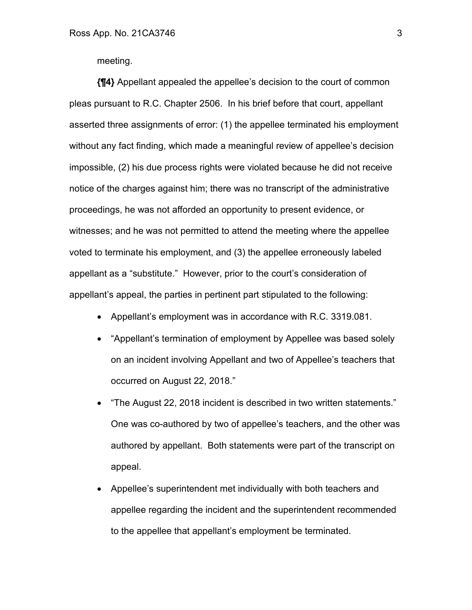meeting.

**{¶4}** Appellant appealed the appellee's decision to the court of common pleas pursuant to R.C. Chapter 2506. In his brief before that court, appellant asserted three assignments of error: (1) the appellee terminated his employment without any fact finding, which made a meaningful review of appellee's decision impossible, (2) his due process rights were violated because he did not receive notice of the charges against him; there was no transcript of the administrative proceedings, he was not afforded an opportunity to present evidence, or witnesses; and he was not permitted to attend the meeting where the appellee voted to terminate his employment, and (3) the appellee erroneously labeled appellant as a "substitute." However, prior to the court's consideration of appellant's appeal, the parties in pertinent part stipulated to the following:

- Appellant's employment was in accordance with R.C. 3319.081.
- "Appellant's termination of employment by Appellee was based solely on an incident involving Appellant and two of Appellee's teachers that occurred on August 22, 2018."
- "The August 22, 2018 incident is described in two written statements." One was co-authored by two of appellee's teachers, and the other was authored by appellant. Both statements were part of the transcript on appeal.
- Appellee's superintendent met individually with both teachers and appellee regarding the incident and the superintendent recommended to the appellee that appellant's employment be terminated.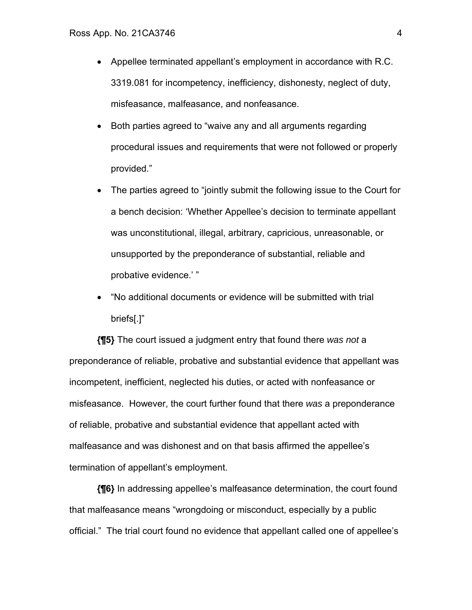- Appellee terminated appellant's employment in accordance with R.C. 3319.081 for incompetency, inefficiency, dishonesty, neglect of duty, misfeasance, malfeasance, and nonfeasance.
- Both parties agreed to "waive any and all arguments regarding procedural issues and requirements that were not followed or properly provided."
- The parties agreed to "jointly submit the following issue to the Court for a bench decision: 'Whether Appellee's decision to terminate appellant was unconstitutional, illegal, arbitrary, capricious, unreasonable, or unsupported by the preponderance of substantial, reliable and probative evidence.' "
- "No additional documents or evidence will be submitted with trial briefs[.]"

**{¶5}** The court issued a judgment entry that found there *was not* a preponderance of reliable, probative and substantial evidence that appellant was incompetent, inefficient, neglected his duties, or acted with nonfeasance or misfeasance. However, the court further found that there *was* a preponderance of reliable, probative and substantial evidence that appellant acted with malfeasance and was dishonest and on that basis affirmed the appellee's termination of appellant's employment.

**{¶6}** In addressing appellee's malfeasance determination, the court found that malfeasance means "wrongdoing or misconduct, especially by a public official." The trial court found no evidence that appellant called one of appellee's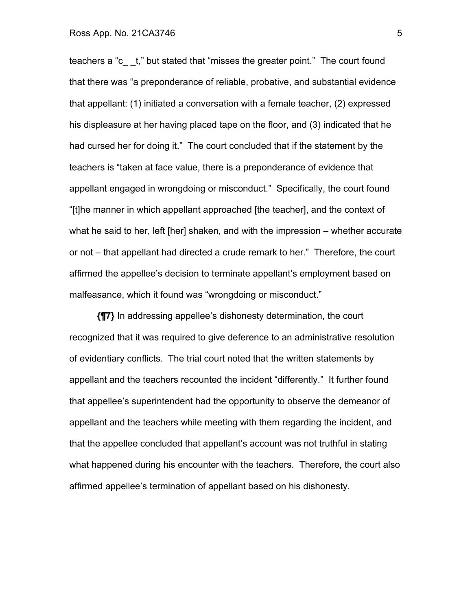### Ross App. No. 21CA3746 5

teachers a "c\_ \_t," but stated that "misses the greater point." The court found that there was "a preponderance of reliable, probative, and substantial evidence that appellant: (1) initiated a conversation with a female teacher, (2) expressed his displeasure at her having placed tape on the floor, and (3) indicated that he had cursed her for doing it." The court concluded that if the statement by the teachers is "taken at face value, there is a preponderance of evidence that appellant engaged in wrongdoing or misconduct." Specifically, the court found "[t]he manner in which appellant approached [the teacher], and the context of what he said to her, left [her] shaken, and with the impression – whether accurate or not – that appellant had directed a crude remark to her." Therefore, the court affirmed the appellee's decision to terminate appellant's employment based on malfeasance, which it found was "wrongdoing or misconduct."

**{¶7}** In addressing appellee's dishonesty determination, the court recognized that it was required to give deference to an administrative resolution of evidentiary conflicts. The trial court noted that the written statements by appellant and the teachers recounted the incident "differently." It further found that appellee's superintendent had the opportunity to observe the demeanor of appellant and the teachers while meeting with them regarding the incident, and that the appellee concluded that appellant's account was not truthful in stating what happened during his encounter with the teachers. Therefore, the court also affirmed appellee's termination of appellant based on his dishonesty.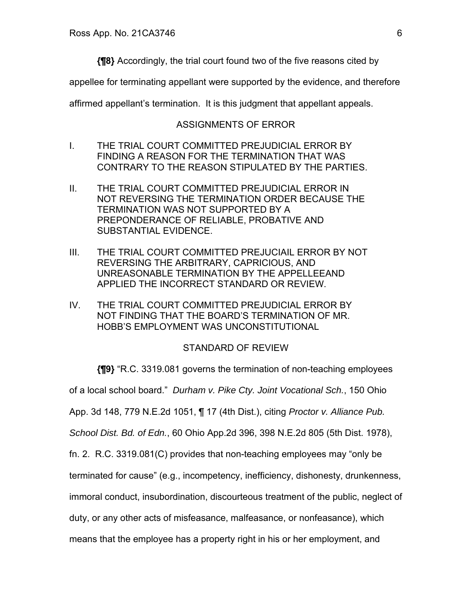**{¶8}** Accordingly, the trial court found two of the five reasons cited by

appellee for terminating appellant were supported by the evidence, and therefore

affirmed appellant's termination. It is this judgment that appellant appeals.

## ASSIGNMENTS OF ERROR

- I. THE TRIAL COURT COMMITTED PREJUDICIAL ERROR BY FINDING A REASON FOR THE TERMINATION THAT WAS CONTRARY TO THE REASON STIPULATED BY THE PARTIES.
- II. THE TRIAL COURT COMMITTED PREJUDICIAL ERROR IN NOT REVERSING THE TERMINATION ORDER BECAUSE THE TERMINATION WAS NOT SUPPORTED BY A PREPONDERANCE OF RELIABLE, PROBATIVE AND SUBSTANTIAL EVIDENCE.
- III. THE TRIAL COURT COMMITTED PREJUCIAIL ERROR BY NOT REVERSING THE ARBITRARY, CAPRICIOUS, AND UNREASONABLE TERMINATION BY THE APPELLEEAND APPLIED THE INCORRECT STANDARD OR REVIEW.
- IV. THE TRIAL COURT COMMITTED PREJUDICIAL ERROR BY NOT FINDING THAT THE BOARD'S TERMINATION OF MR. HOBB'S EMPLOYMENT WAS UNCONSTITUTIONAL

### STANDARD OF REVIEW

**{¶9}** "R.C. 3319.081 governs the termination of non-teaching employees

of a local school board." *Durham v. Pike Cty. Joint Vocational Sch.*, 150 Ohio

App. 3d 148, 779 N.E.2d 1051, ¶ 17 (4th Dist.), citing *Proctor v. Alliance Pub.* 

*School Dist. Bd. of Edn.*, 60 Ohio App.2d 396, 398 N.E.2d 805 (5th Dist. 1978),

fn. 2. R.C. 3319.081(C) provides that non-teaching employees may "only be

terminated for cause" (e.g., incompetency, inefficiency, dishonesty, drunkenness,

immoral conduct, insubordination, discourteous treatment of the public, neglect of

duty, or any other acts of misfeasance, malfeasance, or nonfeasance), which

means that the employee has a property right in his or her employment, and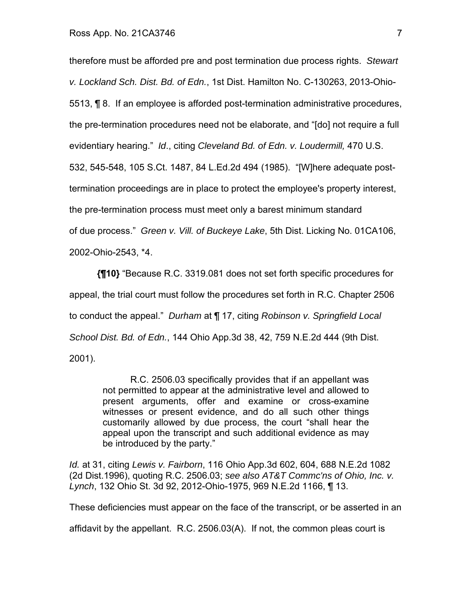therefore must be afforded pre and post termination due process rights. *Stewart v. Lockland Sch. Dist. Bd. of Edn.*, 1st Dist. Hamilton No. C-130263, 2013-Ohio-5513, ¶ 8. If an employee is afforded post-termination administrative procedures, the pre-termination procedures need not be elaborate, and "[do] not require a full evidentiary hearing." *Id*., citing *Cleveland Bd. of Edn. v. Loudermill,* 470 U.S. 532, 545-548, 105 S.Ct. 1487, 84 L.Ed.2d 494 (1985). "[W]here adequate posttermination proceedings are in place to protect the employee's property interest, the pre-termination process must meet only a barest minimum standard of due process." *Green v. Vill. of Buckeye Lake*, 5th Dist. Licking No. 01CA106, 2002-Ohio-2543, \*4.

**{¶10}** "Because R.C. 3319.081 does not set forth specific procedures for appeal, the trial court must follow the procedures set forth in R.C. Chapter 2506 to conduct the appeal." *Durham* at ¶ 17, citing *Robinson v. Springfield Local School Dist. Bd. of Edn.*, 144 Ohio App.3d 38, 42, 759 N.E.2d 444 (9th Dist. 2001).

> R.C. 2506.03 specifically provides that if an appellant was not permitted to appear at the administrative level and allowed to present arguments, offer and examine or cross-examine witnesses or present evidence, and do all such other things customarily allowed by due process, the court "shall hear the appeal upon the transcript and such additional evidence as may be introduced by the party."

*Id.* at 31, citing *Lewis v. Fairborn*, 116 Ohio App.3d 602, 604, 688 N.E.2d 1082 (2d Dist.1996), quoting R.C. 2506.03; *see also AT&T Commc'ns of Ohio, Inc. v. Lynch*, 132 Ohio St. 3d 92, 2012-Ohio-1975, 969 N.E.2d 1166, ¶ 13.

These deficiencies must appear on the face of the transcript, or be asserted in an

affidavit by the appellant. R.C. 2506.03(A). If not, the common pleas court is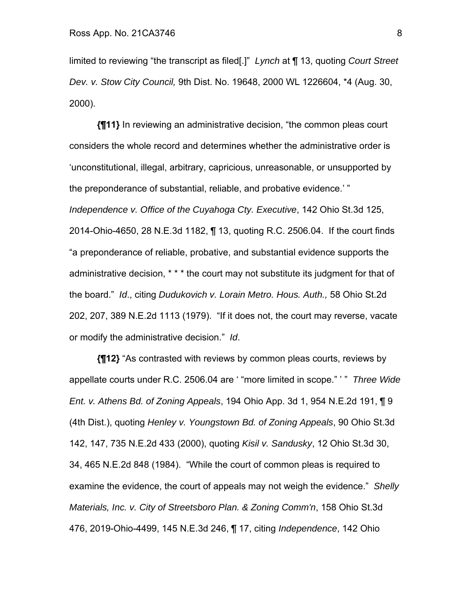limited to reviewing "the transcript as filed[.]" *Lynch* at ¶ 13, quoting *Court Street Dev. v. Stow City Council,* 9th Dist. No. 19648, 2000 WL 1226604, \*4 (Aug. 30, 2000).

**{¶11}** In reviewing an administrative decision, "the common pleas court considers the whole record and determines whether the administrative order is 'unconstitutional, illegal, arbitrary, capricious, unreasonable, or unsupported by the preponderance of substantial, reliable, and probative evidence.' " *Independence v. Office of the Cuyahoga Cty. Executive*, 142 Ohio St.3d 125, 2014-Ohio-4650, 28 N.E.3d 1182, ¶ 13, quoting R.C. 2506.04. If the court finds "a preponderance of reliable, probative, and substantial evidence supports the administrative decision, \* \* \* the court may not substitute its judgment for that of the board." *Id*., citing *Dudukovich v. Lorain Metro. Hous. Auth.,* 58 Ohio St.2d 202, 207, 389 N.E.2d 1113 (1979). "If it does not, the court may reverse, vacate or modify the administrative decision." *Id*.

**{¶12}** "As contrasted with reviews by common pleas courts, reviews by appellate courts under R.C. 2506.04 are ' "more limited in scope." ' " *Three Wide Ent. v. Athens Bd. of Zoning Appeals*, 194 Ohio App. 3d 1, 954 N.E.2d 191, ¶ 9 (4th Dist.), quoting *Henley v. Youngstown Bd. of Zoning Appeals*, 90 Ohio St.3d 142, 147, 735 N.E.2d 433 (2000), quoting *Kisil v. Sandusky*, 12 Ohio St.3d 30, 34, 465 N.E.2d 848 (1984). "While the court of common pleas is required to examine the evidence, the court of appeals may not weigh the evidence." *Shelly Materials, Inc. v. City of Streetsboro Plan. & Zoning Comm'n*, 158 Ohio St.3d 476, 2019-Ohio-4499, 145 N.E.3d 246, ¶ 17, citing *Independence*, 142 Ohio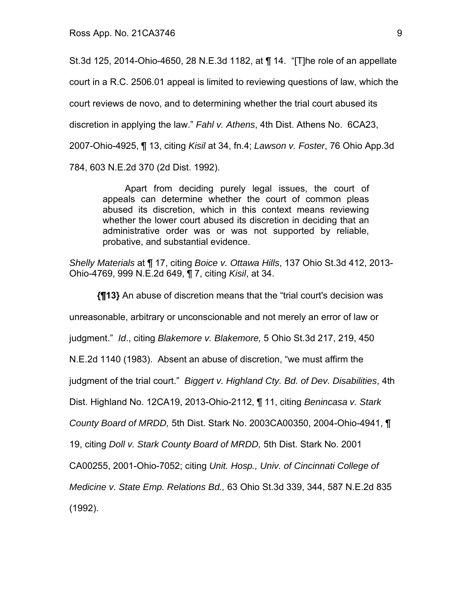St.3d 125, 2014-Ohio-4650, 28 N.E.3d 1182, at ¶ 14. "[T]he role of an appellate court in a R.C. 2506.01 appeal is limited to reviewing questions of law, which the court reviews de novo, and to determining whether the trial court abused its discretion in applying the law." *Fahl v. Athens*, 4th Dist. Athens No. 6CA23, 2007-Ohio-4925, ¶ 13, citing *Kisil* at 34, fn.4; *Lawson v. Foster*, 76 Ohio App.3d 784, 603 N.E.2d 370 (2d Dist. 1992).

Apart from deciding purely legal issues, the court of appeals can determine whether the court of common pleas abused its discretion, which in this context means reviewing whether the lower court abused its discretion in deciding that an administrative order was or was not supported by reliable, probative, and substantial evidence.

*Shelly Materials* at ¶ 17, citing *Boice v. Ottawa Hills*, 137 Ohio St.3d 412, 2013- Ohio-4769, 999 N.E.2d 649, ¶ 7, citing *Kisil*, at 34.

**{¶13}** An abuse of discretion means that the "trial court's decision was unreasonable, arbitrary or unconscionable and not merely an error of law or judgment." *Id*., citing *Blakemore v. Blakemore,* 5 Ohio St.3d 217, 219, 450 N.E.2d 1140 (1983). Absent an abuse of discretion, "we must affirm the judgment of the trial court." *Biggert v. Highland Cty. Bd. of Dev. Disabilities*, 4th Dist. Highland No. 12CA19, 2013-Ohio-2112, ¶ 11, citing *Benincasa v. Stark County Board of MRDD,* 5th Dist. Stark No. 2003CA00350, 2004-Ohio-4941, ¶ 19, citing *Doll v. Stark County Board of MRDD,* 5th Dist. Stark No. 2001 CA00255, 2001-Ohio-7052; citing *Unit. Hosp., Univ. of Cincinnati College of Medicine v. State Emp. Relations Bd.,* 63 Ohio St.3d 339, 344, 587 N.E.2d 835 (1992).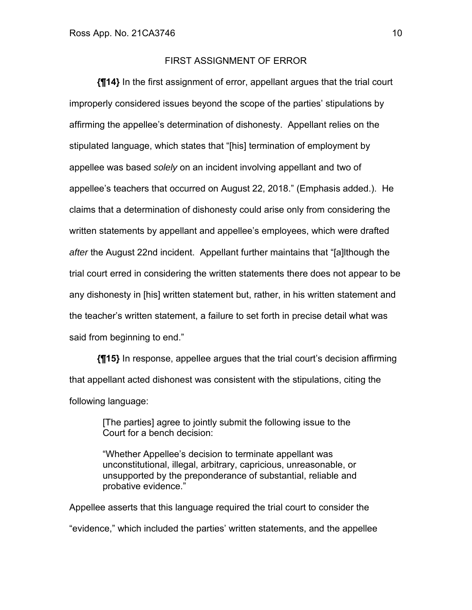### FIRST ASSIGNMENT OF ERROR

**{¶14}** In the first assignment of error, appellant argues that the trial court improperly considered issues beyond the scope of the parties' stipulations by affirming the appellee's determination of dishonesty. Appellant relies on the stipulated language, which states that "[his] termination of employment by appellee was based *solely* on an incident involving appellant and two of appellee's teachers that occurred on August 22, 2018." (Emphasis added.). He claims that a determination of dishonesty could arise only from considering the written statements by appellant and appellee's employees, which were drafted *after* the August 22nd incident. Appellant further maintains that "[a]lthough the trial court erred in considering the written statements there does not appear to be any dishonesty in [his] written statement but, rather, in his written statement and the teacher's written statement, a failure to set forth in precise detail what was said from beginning to end."

**{¶15}** In response, appellee argues that the trial court's decision affirming that appellant acted dishonest was consistent with the stipulations, citing the following language:

[The parties] agree to jointly submit the following issue to the Court for a bench decision:

"Whether Appellee's decision to terminate appellant was unconstitutional, illegal, arbitrary, capricious, unreasonable, or unsupported by the preponderance of substantial, reliable and probative evidence."

Appellee asserts that this language required the trial court to consider the "evidence," which included the parties' written statements, and the appellee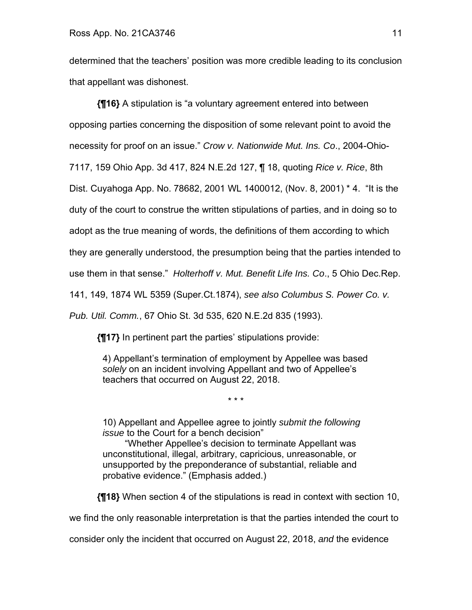determined that the teachers' position was more credible leading to its conclusion that appellant was dishonest.

**{¶16}** A stipulation is "a voluntary agreement entered into between opposing parties concerning the disposition of some relevant point to avoid the necessity for proof on an issue." *Crow v. Nationwide Mut. Ins. Co*., 2004-Ohio-7117, 159 Ohio App. 3d 417, 824 N.E.2d 127, ¶ 18, quoting *Rice v. Rice*, 8th Dist. Cuyahoga App. No. 78682, 2001 WL 1400012, (Nov. 8, 2001) \* 4. "It is the duty of the court to construe the written stipulations of parties, and in doing so to adopt as the true meaning of words, the definitions of them according to which they are generally understood, the presumption being that the parties intended to use them in that sense." *Holterhoff v. Mut. Benefit Life Ins. Co*., 5 Ohio Dec.Rep. 141, 149, 1874 WL 5359 (Super.Ct.1874), *see also Columbus S. Power Co. v.* 

*Pub. Util. Comm.*, 67 Ohio St. 3d 535, 620 N.E.2d 835 (1993).

**{¶17}** In pertinent part the parties' stipulations provide:

4) Appellant's termination of employment by Appellee was based *solely* on an incident involving Appellant and two of Appellee's teachers that occurred on August 22, 2018.

\* \* \*

10) Appellant and Appellee agree to jointly *submit the following issue* to the Court for a bench decision"

 "Whether Appellee's decision to terminate Appellant was unconstitutional, illegal, arbitrary, capricious, unreasonable, or unsupported by the preponderance of substantial, reliable and probative evidence." (Emphasis added.)

**{¶18}** When section 4 of the stipulations is read in context with section 10,

we find the only reasonable interpretation is that the parties intended the court to

consider only the incident that occurred on August 22, 2018, *and* the evidence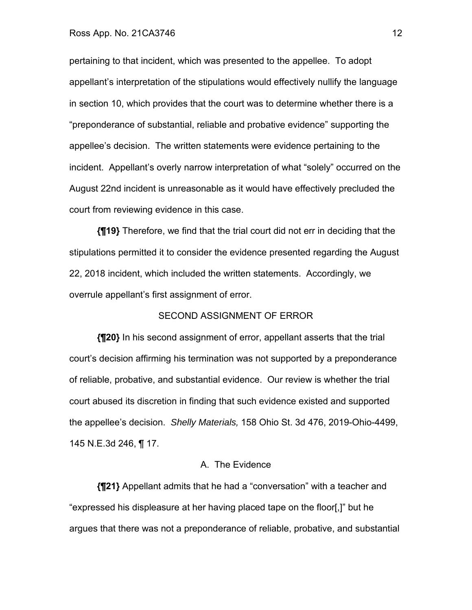#### Ross App. No. 21CA3746 12

pertaining to that incident, which was presented to the appellee. To adopt appellant's interpretation of the stipulations would effectively nullify the language in section 10, which provides that the court was to determine whether there is a "preponderance of substantial, reliable and probative evidence" supporting the appellee's decision. The written statements were evidence pertaining to the incident. Appellant's overly narrow interpretation of what "solely" occurred on the August 22nd incident is unreasonable as it would have effectively precluded the court from reviewing evidence in this case.

**{¶19}** Therefore, we find that the trial court did not err in deciding that the stipulations permitted it to consider the evidence presented regarding the August 22, 2018 incident, which included the written statements. Accordingly, we overrule appellant's first assignment of error.

### SECOND ASSIGNMENT OF ERROR

**{¶20}** In his second assignment of error, appellant asserts that the trial court's decision affirming his termination was not supported by a preponderance of reliable, probative, and substantial evidence. Our review is whether the trial court abused its discretion in finding that such evidence existed and supported the appellee's decision. *Shelly Materials,* 158 Ohio St. 3d 476, 2019-Ohio-4499, 145 N.E.3d 246, ¶ 17.

### A. The Evidence

**{¶21}** Appellant admits that he had a "conversation" with a teacher and "expressed his displeasure at her having placed tape on the floor[,]" but he argues that there was not a preponderance of reliable, probative, and substantial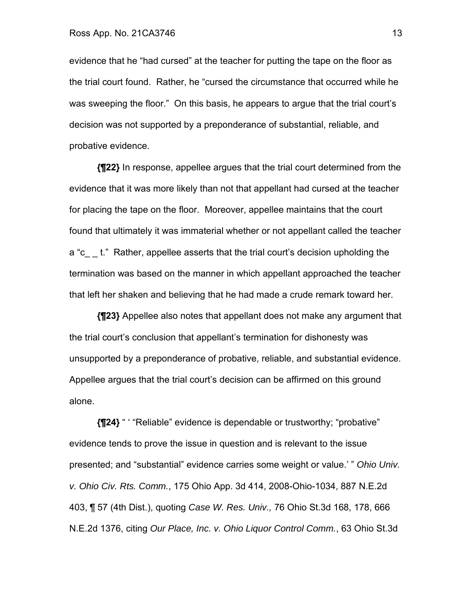evidence that he "had cursed" at the teacher for putting the tape on the floor as the trial court found. Rather, he "cursed the circumstance that occurred while he was sweeping the floor." On this basis, he appears to argue that the trial court's decision was not supported by a preponderance of substantial, reliable, and probative evidence.

**{¶22}** In response, appellee argues that the trial court determined from the evidence that it was more likely than not that appellant had cursed at the teacher for placing the tape on the floor. Moreover, appellee maintains that the court found that ultimately it was immaterial whether or not appellant called the teacher a "c — t." Rather, appellee asserts that the trial court's decision upholding the termination was based on the manner in which appellant approached the teacher that left her shaken and believing that he had made a crude remark toward her.

**{¶23}** Appellee also notes that appellant does not make any argument that the trial court's conclusion that appellant's termination for dishonesty was unsupported by a preponderance of probative, reliable, and substantial evidence. Appellee argues that the trial court's decision can be affirmed on this ground alone.

**{¶24}** " ' "Reliable" evidence is dependable or trustworthy; "probative" evidence tends to prove the issue in question and is relevant to the issue presented; and "substantial" evidence carries some weight or value.' " *Ohio Univ. v. Ohio Civ. Rts. Comm.*, 175 Ohio App. 3d 414, 2008-Ohio-1034, 887 N.E.2d 403, ¶ 57 (4th Dist.), quoting *Case W. Res. Univ.,* 76 Ohio St.3d 168, 178, 666 N.E.2d 1376, citing *Our Place, Inc. v. Ohio Liquor Control Comm.*, 63 Ohio St.3d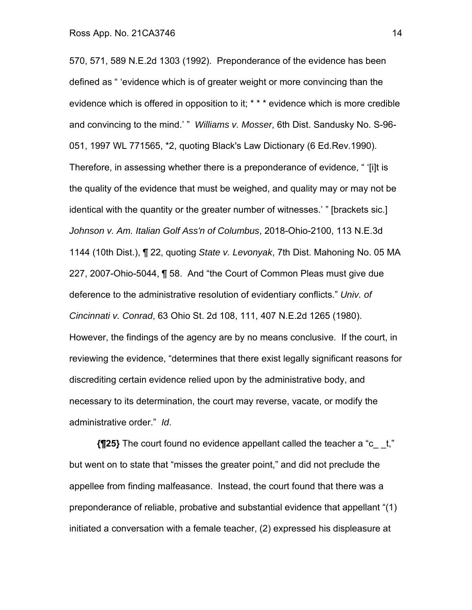570, 571, 589 N.E.2d 1303 (1992). Preponderance of the evidence has been defined as " 'evidence which is of greater weight or more convincing than the evidence which is offered in opposition to it; \* \* \* evidence which is more credible and convincing to the mind.' " *Williams v. Mosser*, 6th Dist. Sandusky No. S-96- 051, 1997 WL 771565, \*2, quoting Black's Law Dictionary (6 Ed.Rev.1990). Therefore, in assessing whether there is a preponderance of evidence, " '[i]t is the quality of the evidence that must be weighed, and quality may or may not be identical with the quantity or the greater number of witnesses.' " [brackets sic.] *Johnson v. Am. Italian Golf Ass'n of Columbus*, 2018-Ohio-2100, 113 N.E.3d 1144 (10th Dist.), ¶ 22, quoting *State v. Levonyak*, 7th Dist. Mahoning No. 05 MA 227, 2007-Ohio-5044, ¶ 58. And "the Court of Common Pleas must give due deference to the administrative resolution of evidentiary conflicts." *Univ. of Cincinnati v. Conrad*, 63 Ohio St. 2d 108, 111, 407 N.E.2d 1265 (1980). However, the findings of the agency are by no means conclusive. If the court, in reviewing the evidence, "determines that there exist legally significant reasons for discrediting certain evidence relied upon by the administrative body, and necessary to its determination, the court may reverse, vacate, or modify the administrative order." *Id*.

**{¶25}** The court found no evidence appellant called the teacher a "c\_ \_t," but went on to state that "misses the greater point," and did not preclude the appellee from finding malfeasance. Instead, the court found that there was a preponderance of reliable, probative and substantial evidence that appellant "(1) initiated a conversation with a female teacher, (2) expressed his displeasure at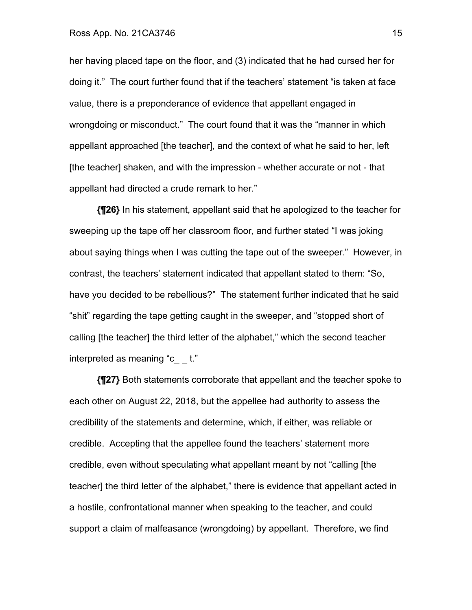#### Ross App. No. 21CA3746 15

her having placed tape on the floor, and (3) indicated that he had cursed her for doing it." The court further found that if the teachers' statement "is taken at face value, there is a preponderance of evidence that appellant engaged in wrongdoing or misconduct." The court found that it was the "manner in which appellant approached [the teacher], and the context of what he said to her, left [the teacher] shaken, and with the impression - whether accurate or not - that appellant had directed a crude remark to her."

**{¶26}** In his statement, appellant said that he apologized to the teacher for sweeping up the tape off her classroom floor, and further stated "I was joking about saying things when I was cutting the tape out of the sweeper." However, in contrast, the teachers' statement indicated that appellant stated to them: "So, have you decided to be rebellious?" The statement further indicated that he said "shit" regarding the tape getting caught in the sweeper, and "stopped short of calling [the teacher] the third letter of the alphabet," which the second teacher interpreted as meaning "c\_ \_ t."

**{¶27}** Both statements corroborate that appellant and the teacher spoke to each other on August 22, 2018, but the appellee had authority to assess the credibility of the statements and determine, which, if either, was reliable or credible. Accepting that the appellee found the teachers' statement more credible, even without speculating what appellant meant by not "calling [the teacher] the third letter of the alphabet," there is evidence that appellant acted in a hostile, confrontational manner when speaking to the teacher, and could support a claim of malfeasance (wrongdoing) by appellant. Therefore, we find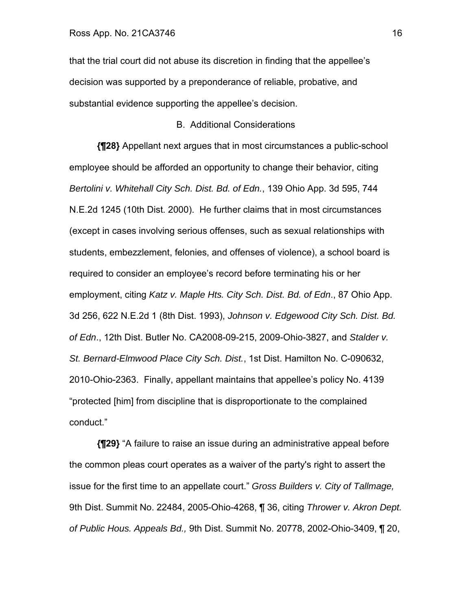that the trial court did not abuse its discretion in finding that the appellee's decision was supported by a preponderance of reliable, probative, and substantial evidence supporting the appellee's decision.

### B. Additional Considerations

**{¶28}** Appellant next argues that in most circumstances a public-school employee should be afforded an opportunity to change their behavior, citing *Bertolini v. Whitehall City Sch. Dist. Bd. of Edn.*, 139 Ohio App. 3d 595, 744 N.E.2d 1245 (10th Dist. 2000). He further claims that in most circumstances (except in cases involving serious offenses, such as sexual relationships with students, embezzlement, felonies, and offenses of violence), a school board is required to consider an employee's record before terminating his or her employment, citing *Katz v. Maple Hts. City Sch. Dist. Bd. of Edn*., 87 Ohio App. 3d 256, 622 N.E.2d 1 (8th Dist. 1993), *Johnson v. Edgewood City Sch. Dist. Bd. of Edn*., 12th Dist. Butler No. CA2008-09-215, 2009-Ohio-3827, and *Stalder v. St. Bernard-Elmwood Place City Sch. Dist.*, 1st Dist. Hamilton No. C-090632, 2010-Ohio-2363. Finally, appellant maintains that appellee's policy No. 4139 "protected [him] from discipline that is disproportionate to the complained conduct."

**{¶29}** "A failure to raise an issue during an administrative appeal before the common pleas court operates as a waiver of the party's right to assert the issue for the first time to an appellate court." *Gross Builders v. City of Tallmage,*  9th Dist. Summit No. 22484, 2005-Ohio-4268, ¶ 36, citing *Thrower v. Akron Dept. of Public Hous. Appeals Bd.,* 9th Dist. Summit No. 20778, 2002-Ohio-3409, ¶ 20,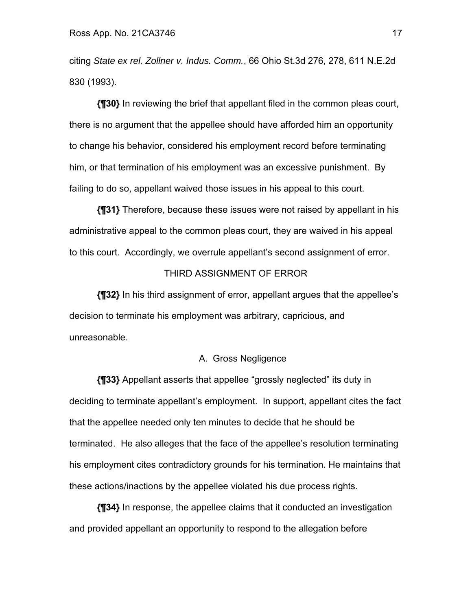citing *State ex rel. Zollner v. Indus. Comm.*, 66 Ohio St.3d 276, 278, 611 N.E.2d 830 (1993).

**{¶30}** In reviewing the brief that appellant filed in the common pleas court, there is no argument that the appellee should have afforded him an opportunity to change his behavior, considered his employment record before terminating him, or that termination of his employment was an excessive punishment. By failing to do so, appellant waived those issues in his appeal to this court.

**{¶31}** Therefore, because these issues were not raised by appellant in his administrative appeal to the common pleas court, they are waived in his appeal to this court. Accordingly, we overrule appellant's second assignment of error.

#### THIRD ASSIGNMENT OF ERROR

**{¶32}** In his third assignment of error, appellant argues that the appellee's decision to terminate his employment was arbitrary, capricious, and unreasonable.

#### A. Gross Negligence

**{¶33}** Appellant asserts that appellee "grossly neglected" its duty in deciding to terminate appellant's employment. In support, appellant cites the fact that the appellee needed only ten minutes to decide that he should be terminated. He also alleges that the face of the appellee's resolution terminating his employment cites contradictory grounds for his termination. He maintains that these actions/inactions by the appellee violated his due process rights.

**{¶34}** In response, the appellee claims that it conducted an investigation and provided appellant an opportunity to respond to the allegation before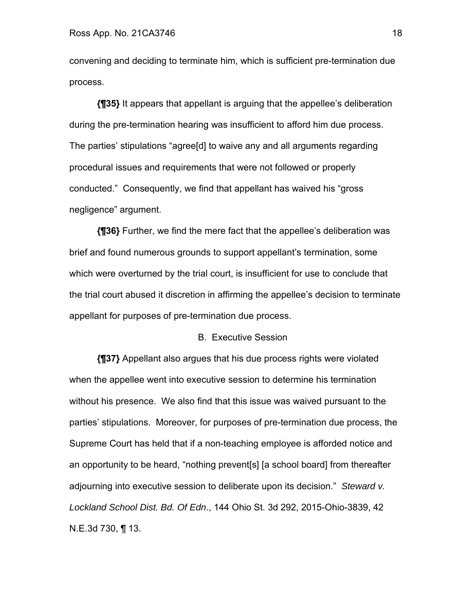convening and deciding to terminate him, which is sufficient pre-termination due process.

**{¶35}** It appears that appellant is arguing that the appellee's deliberation during the pre-termination hearing was insufficient to afford him due process. The parties' stipulations "agree[d] to waive any and all arguments regarding procedural issues and requirements that were not followed or properly conducted." Consequently, we find that appellant has waived his "gross negligence" argument.

**{¶36}** Further, we find the mere fact that the appellee's deliberation was brief and found numerous grounds to support appellant's termination, some which were overturned by the trial court, is insufficient for use to conclude that the trial court abused it discretion in affirming the appellee's decision to terminate appellant for purposes of pre-termination due process.

#### B. Executive Session

**{¶37}** Appellant also argues that his due process rights were violated when the appellee went into executive session to determine his termination without his presence. We also find that this issue was waived pursuant to the parties' stipulations. Moreover, for purposes of pre-termination due process, the Supreme Court has held that if a non-teaching employee is afforded notice and an opportunity to be heard, "nothing prevent[s] [a school board] from thereafter adjourning into executive session to deliberate upon its decision." *Steward v. Lockland School Dist. Bd. Of Edn*., 144 Ohio St. 3d 292, 2015-Ohio-3839, 42 N.E.3d 730, ¶ 13.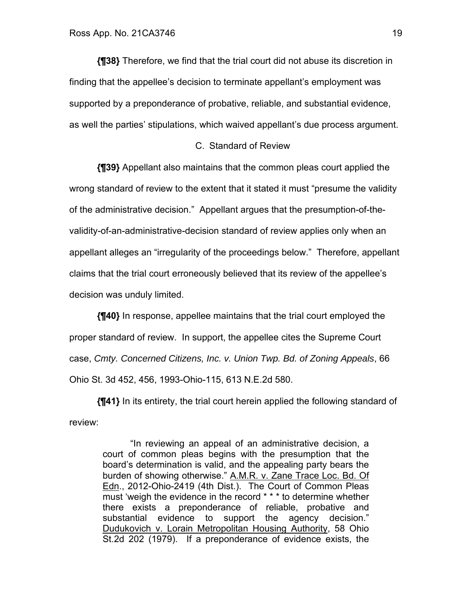**{¶38}** Therefore, we find that the trial court did not abuse its discretion in finding that the appellee's decision to terminate appellant's employment was supported by a preponderance of probative, reliable, and substantial evidence, as well the parties' stipulations, which waived appellant's due process argument.

### C. Standard of Review

**{¶39}** Appellant also maintains that the common pleas court applied the wrong standard of review to the extent that it stated it must "presume the validity of the administrative decision." Appellant argues that the presumption-of-thevalidity-of-an-administrative-decision standard of review applies only when an appellant alleges an "irregularity of the proceedings below." Therefore, appellant claims that the trial court erroneously believed that its review of the appellee's decision was unduly limited.

**{¶40}** In response, appellee maintains that the trial court employed the proper standard of review. In support, the appellee cites the Supreme Court case, *Cmty. Concerned Citizens, Inc. v. Union Twp. Bd. of Zoning Appeals*, 66 Ohio St. 3d 452, 456, 1993-Ohio-115, 613 N.E.2d 580.

 **{¶41}** In its entirety, the trial court herein applied the following standard of review:

"In reviewing an appeal of an administrative decision, a court of common pleas begins with the presumption that the board's determination is valid, and the appealing party bears the burden of showing otherwise." A.M.R. v. Zane Trace Loc. Bd. Of Edn., 2012-Ohio-2419 (4th Dist.). The Court of Common Pleas must 'weigh the evidence in the record \* \* \* to determine whether there exists a preponderance of reliable, probative and substantial evidence to support the agency decision." Dudukovich v. Lorain Metropolitan Housing Authority, 58 Ohio St.2d 202 (1979). If a preponderance of evidence exists, the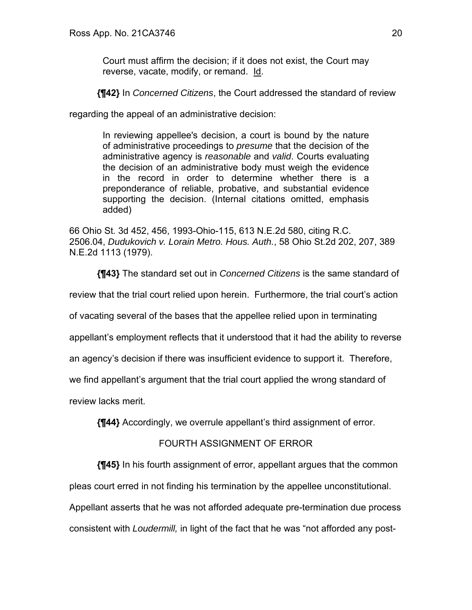Court must affirm the decision; if it does not exist, the Court may reverse, vacate, modify, or remand. Id.

**{¶42}** In *Concerned Citizens*, the Court addressed the standard of review

regarding the appeal of an administrative decision:

In reviewing appellee's decision, a court is bound by the nature of administrative proceedings to *presume* that the decision of the administrative agency is *reasonable* and *valid*. Courts evaluating the decision of an administrative body must weigh the evidence in the record in order to determine whether there is a preponderance of reliable, probative, and substantial evidence supporting the decision. (Internal citations omitted, emphasis added)

66 Ohio St. 3d 452, 456, 1993-Ohio-115, 613 N.E.2d 580, citing R.C. 2506.04, *Dudukovich v. Lorain Metro. Hous. Auth.*, 58 Ohio St.2d 202, 207, 389 N.E.2d 1113 (1979).

**{¶43}** The standard set out in *Concerned Citizens* is the same standard of

review that the trial court relied upon herein. Furthermore, the trial court's action

of vacating several of the bases that the appellee relied upon in terminating

appellant's employment reflects that it understood that it had the ability to reverse

an agency's decision if there was insufficient evidence to support it. Therefore,

we find appellant's argument that the trial court applied the wrong standard of

review lacks merit.

**{¶44}** Accordingly, we overrule appellant's third assignment of error.

## FOURTH ASSIGNMENT OF ERROR

**{¶45}** In his fourth assignment of error, appellant argues that the common

pleas court erred in not finding his termination by the appellee unconstitutional.

Appellant asserts that he was not afforded adequate pre-termination due process consistent with *Loudermill,* in light of the fact that he was "not afforded any post-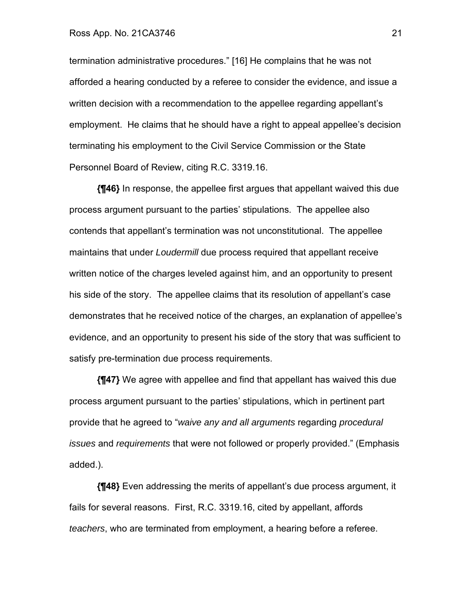#### Ross App. No. 21CA3746 21

termination administrative procedures." [16] He complains that he was not afforded a hearing conducted by a referee to consider the evidence, and issue a written decision with a recommendation to the appellee regarding appellant's employment. He claims that he should have a right to appeal appellee's decision terminating his employment to the Civil Service Commission or the State Personnel Board of Review, citing R.C. 3319.16.

**{¶46}** In response, the appellee first argues that appellant waived this due process argument pursuant to the parties' stipulations. The appellee also contends that appellant's termination was not unconstitutional. The appellee maintains that under *Loudermill* due process required that appellant receive written notice of the charges leveled against him, and an opportunity to present his side of the story. The appellee claims that its resolution of appellant's case demonstrates that he received notice of the charges, an explanation of appellee's evidence, and an opportunity to present his side of the story that was sufficient to satisfy pre-termination due process requirements.

**{¶47}** We agree with appellee and find that appellant has waived this due process argument pursuant to the parties' stipulations, which in pertinent part provide that he agreed to "*waive any and all arguments* regarding *procedural issues* and *requirements* that were not followed or properly provided." (Emphasis added.).

**{¶48}** Even addressing the merits of appellant's due process argument, it fails for several reasons. First, R.C. 3319.16, cited by appellant, affords *teachers*, who are terminated from employment, a hearing before a referee.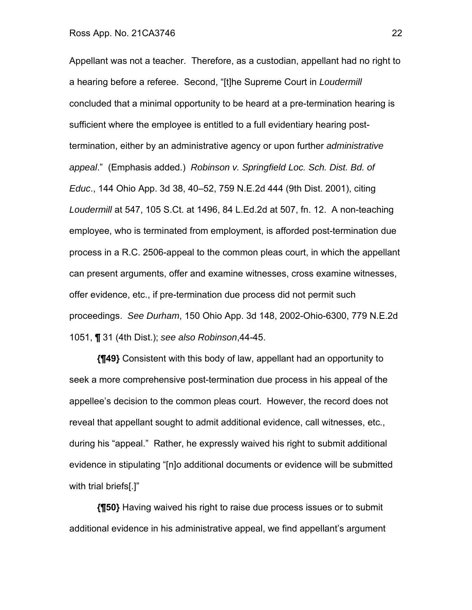Appellant was not a teacher. Therefore, as a custodian, appellant had no right to a hearing before a referee. Second, "[t]he Supreme Court in *Loudermill*  concluded that a minimal opportunity to be heard at a pre-termination hearing is sufficient where the employee is entitled to a full evidentiary hearing posttermination, either by an administrative agency or upon further *administrative appeal*." (Emphasis added.) *Robinson v. Springfield Loc. Sch. Dist. Bd. of Educ*., 144 Ohio App. 3d 38, 40–52, 759 N.E.2d 444 (9th Dist. 2001), citing *Loudermill* at 547, 105 S.Ct. at 1496, 84 L.Ed.2d at 507, fn. 12. A non-teaching employee, who is terminated from employment, is afforded post-termination due process in a R.C. 2506-appeal to the common pleas court, in which the appellant can present arguments, offer and examine witnesses, cross examine witnesses, offer evidence, etc., if pre-termination due process did not permit such proceedings. *See Durham*, 150 Ohio App. 3d 148, 2002-Ohio-6300, 779 N.E.2d 1051, **¶** 31 (4th Dist.); *see also Robinson*,44-45.

**{¶49}** Consistent with this body of law, appellant had an opportunity to seek a more comprehensive post-termination due process in his appeal of the appellee's decision to the common pleas court. However, the record does not reveal that appellant sought to admit additional evidence, call witnesses, etc., during his "appeal." Rather, he expressly waived his right to submit additional evidence in stipulating "[n]o additional documents or evidence will be submitted with trial briefs[.]"

**{¶50}** Having waived his right to raise due process issues or to submit additional evidence in his administrative appeal, we find appellant's argument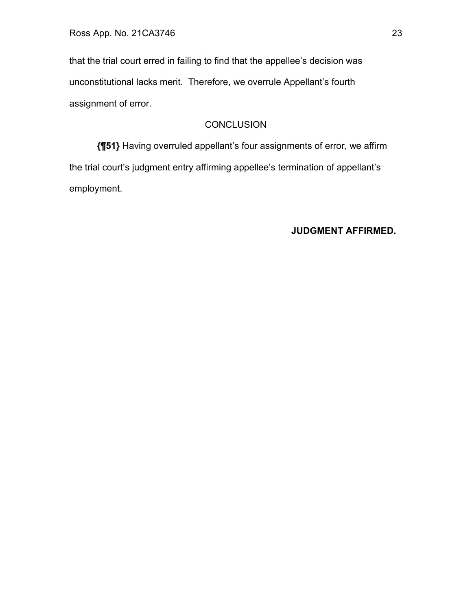that the trial court erred in failing to find that the appellee's decision was unconstitutional lacks merit. Therefore, we overrule Appellant's fourth assignment of error.

# **CONCLUSION**

**{¶51}** Having overruled appellant's four assignments of error, we affirm the trial court's judgment entry affirming appellee's termination of appellant's employment.

**JUDGMENT AFFIRMED.**